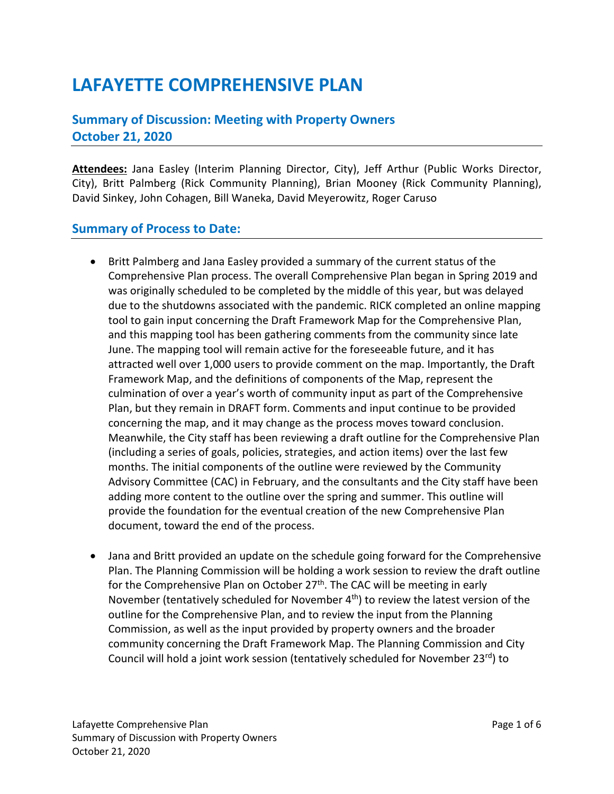# **LAFAYETTE COMPREHENSIVE PLAN**

## **Summary of Discussion: Meeting with Property Owners October 21, 2020**

**Attendees:** Jana Easley (Interim Planning Director, City), Jeff Arthur (Public Works Director, City), Britt Palmberg (Rick Community Planning), Brian Mooney (Rick Community Planning), David Sinkey, John Cohagen, Bill Waneka, David Meyerowitz, Roger Caruso

#### **Summary of Process to Date:**

- Britt Palmberg and Jana Easley provided a summary of the current status of the Comprehensive Plan process. The overall Comprehensive Plan began in Spring 2019 and was originally scheduled to be completed by the middle of this year, but was delayed due to the shutdowns associated with the pandemic. RICK completed an online mapping tool to gain input concerning the Draft Framework Map for the Comprehensive Plan, and this mapping tool has been gathering comments from the community since late June. The mapping tool will remain active for the foreseeable future, and it has attracted well over 1,000 users to provide comment on the map. Importantly, the Draft Framework Map, and the definitions of components of the Map, represent the culmination of over a year's worth of community input as part of the Comprehensive Plan, but they remain in DRAFT form. Comments and input continue to be provided concerning the map, and it may change as the process moves toward conclusion. Meanwhile, the City staff has been reviewing a draft outline for the Comprehensive Plan (including a series of goals, policies, strategies, and action items) over the last few months. The initial components of the outline were reviewed by the Community Advisory Committee (CAC) in February, and the consultants and the City staff have been adding more content to the outline over the spring and summer. This outline will provide the foundation for the eventual creation of the new Comprehensive Plan document, toward the end of the process.
- Jana and Britt provided an update on the schedule going forward for the Comprehensive Plan. The Planning Commission will be holding a work session to review the draft outline for the Comprehensive Plan on October  $27<sup>th</sup>$ . The CAC will be meeting in early November (tentatively scheduled for November  $4<sup>th</sup>$ ) to review the latest version of the outline for the Comprehensive Plan, and to review the input from the Planning Commission, as well as the input provided by property owners and the broader community concerning the Draft Framework Map. The Planning Commission and City Council will hold a joint work session (tentatively scheduled for November  $23^{rd}$ ) to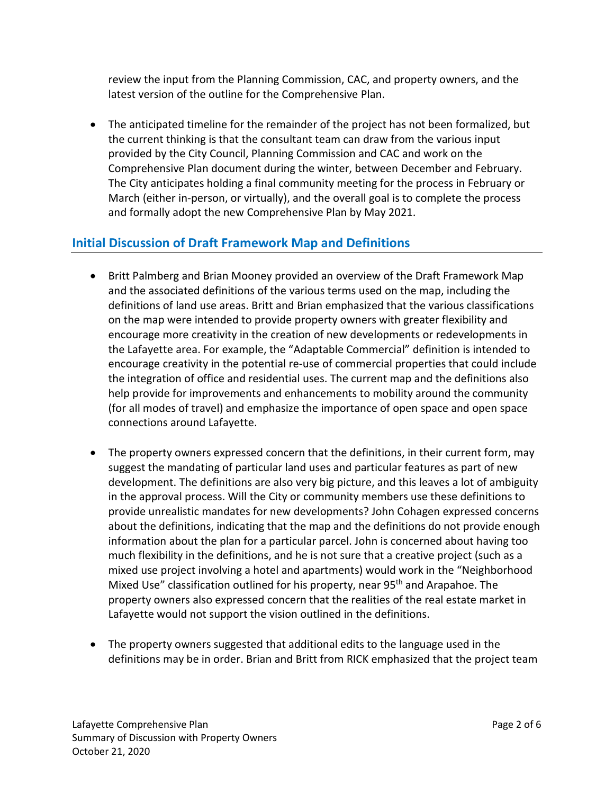review the input from the Planning Commission, CAC, and property owners, and the latest version of the outline for the Comprehensive Plan.

• The anticipated timeline for the remainder of the project has not been formalized, but the current thinking is that the consultant team can draw from the various input provided by the City Council, Planning Commission and CAC and work on the Comprehensive Plan document during the winter, between December and February. The City anticipates holding a final community meeting for the process in February or March (either in-person, or virtually), and the overall goal is to complete the process and formally adopt the new Comprehensive Plan by May 2021.

## **Initial Discussion of Draft Framework Map and Definitions**

- Britt Palmberg and Brian Mooney provided an overview of the Draft Framework Map and the associated definitions of the various terms used on the map, including the definitions of land use areas. Britt and Brian emphasized that the various classifications on the map were intended to provide property owners with greater flexibility and encourage more creativity in the creation of new developments or redevelopments in the Lafayette area. For example, the "Adaptable Commercial" definition is intended to encourage creativity in the potential re-use of commercial properties that could include the integration of office and residential uses. The current map and the definitions also help provide for improvements and enhancements to mobility around the community (for all modes of travel) and emphasize the importance of open space and open space connections around Lafayette.
- The property owners expressed concern that the definitions, in their current form, may suggest the mandating of particular land uses and particular features as part of new development. The definitions are also very big picture, and this leaves a lot of ambiguity in the approval process. Will the City or community members use these definitions to provide unrealistic mandates for new developments? John Cohagen expressed concerns about the definitions, indicating that the map and the definitions do not provide enough information about the plan for a particular parcel. John is concerned about having too much flexibility in the definitions, and he is not sure that a creative project (such as a mixed use project involving a hotel and apartments) would work in the "Neighborhood Mixed Use" classification outlined for his property, near 95<sup>th</sup> and Arapahoe. The property owners also expressed concern that the realities of the real estate market in Lafayette would not support the vision outlined in the definitions.
- The property owners suggested that additional edits to the language used in the definitions may be in order. Brian and Britt from RICK emphasized that the project team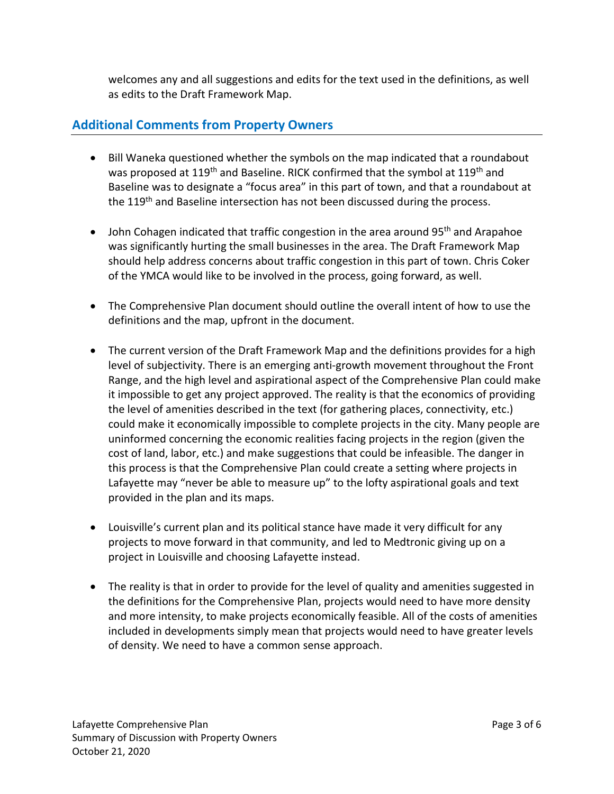welcomes any and all suggestions and edits for the text used in the definitions, as well as edits to the Draft Framework Map.

### **Additional Comments from Property Owners**

- Bill Waneka questioned whether the symbols on the map indicated that a roundabout was proposed at 119<sup>th</sup> and Baseline. RICK confirmed that the symbol at 119<sup>th</sup> and Baseline was to designate a "focus area" in this part of town, and that a roundabout at the 119<sup>th</sup> and Baseline intersection has not been discussed during the process.
- John Cohagen indicated that traffic congestion in the area around 95<sup>th</sup> and Arapahoe was significantly hurting the small businesses in the area. The Draft Framework Map should help address concerns about traffic congestion in this part of town. Chris Coker of the YMCA would like to be involved in the process, going forward, as well.
- The Comprehensive Plan document should outline the overall intent of how to use the definitions and the map, upfront in the document.
- The current version of the Draft Framework Map and the definitions provides for a high level of subjectivity. There is an emerging anti-growth movement throughout the Front Range, and the high level and aspirational aspect of the Comprehensive Plan could make it impossible to get any project approved. The reality is that the economics of providing the level of amenities described in the text (for gathering places, connectivity, etc.) could make it economically impossible to complete projects in the city. Many people are uninformed concerning the economic realities facing projects in the region (given the cost of land, labor, etc.) and make suggestions that could be infeasible. The danger in this process is that the Comprehensive Plan could create a setting where projects in Lafayette may "never be able to measure up" to the lofty aspirational goals and text provided in the plan and its maps.
- Louisville's current plan and its political stance have made it very difficult for any projects to move forward in that community, and led to Medtronic giving up on a project in Louisville and choosing Lafayette instead.
- The reality is that in order to provide for the level of quality and amenities suggested in the definitions for the Comprehensive Plan, projects would need to have more density and more intensity, to make projects economically feasible. All of the costs of amenities included in developments simply mean that projects would need to have greater levels of density. We need to have a common sense approach.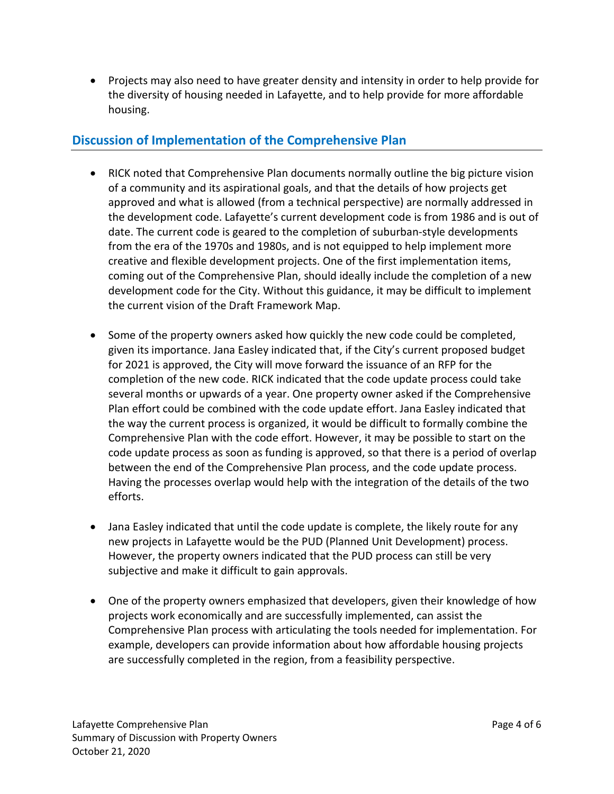• Projects may also need to have greater density and intensity in order to help provide for the diversity of housing needed in Lafayette, and to help provide for more affordable housing.

### **Discussion of Implementation of the Comprehensive Plan**

- RICK noted that Comprehensive Plan documents normally outline the big picture vision of a community and its aspirational goals, and that the details of how projects get approved and what is allowed (from a technical perspective) are normally addressed in the development code. Lafayette's current development code is from 1986 and is out of date. The current code is geared to the completion of suburban-style developments from the era of the 1970s and 1980s, and is not equipped to help implement more creative and flexible development projects. One of the first implementation items, coming out of the Comprehensive Plan, should ideally include the completion of a new development code for the City. Without this guidance, it may be difficult to implement the current vision of the Draft Framework Map.
- Some of the property owners asked how quickly the new code could be completed, given its importance. Jana Easley indicated that, if the City's current proposed budget for 2021 is approved, the City will move forward the issuance of an RFP for the completion of the new code. RICK indicated that the code update process could take several months or upwards of a year. One property owner asked if the Comprehensive Plan effort could be combined with the code update effort. Jana Easley indicated that the way the current process is organized, it would be difficult to formally combine the Comprehensive Plan with the code effort. However, it may be possible to start on the code update process as soon as funding is approved, so that there is a period of overlap between the end of the Comprehensive Plan process, and the code update process. Having the processes overlap would help with the integration of the details of the two efforts.
- Jana Easley indicated that until the code update is complete, the likely route for any new projects in Lafayette would be the PUD (Planned Unit Development) process. However, the property owners indicated that the PUD process can still be very subjective and make it difficult to gain approvals.
- One of the property owners emphasized that developers, given their knowledge of how projects work economically and are successfully implemented, can assist the Comprehensive Plan process with articulating the tools needed for implementation. For example, developers can provide information about how affordable housing projects are successfully completed in the region, from a feasibility perspective.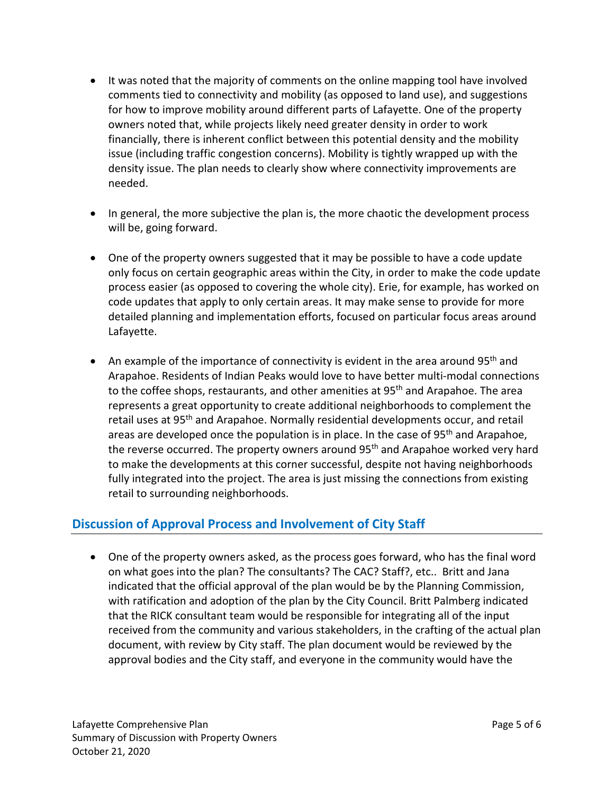- It was noted that the majority of comments on the online mapping tool have involved comments tied to connectivity and mobility (as opposed to land use), and suggestions for how to improve mobility around different parts of Lafayette. One of the property owners noted that, while projects likely need greater density in order to work financially, there is inherent conflict between this potential density and the mobility issue (including traffic congestion concerns). Mobility is tightly wrapped up with the density issue. The plan needs to clearly show where connectivity improvements are needed.
- In general, the more subjective the plan is, the more chaotic the development process will be, going forward.
- One of the property owners suggested that it may be possible to have a code update only focus on certain geographic areas within the City, in order to make the code update process easier (as opposed to covering the whole city). Erie, for example, has worked on code updates that apply to only certain areas. It may make sense to provide for more detailed planning and implementation efforts, focused on particular focus areas around Lafayette.
- An example of the importance of connectivity is evident in the area around 95<sup>th</sup> and Arapahoe. Residents of Indian Peaks would love to have better multi-modal connections to the coffee shops, restaurants, and other amenities at  $95<sup>th</sup>$  and Arapahoe. The area represents a great opportunity to create additional neighborhoods to complement the retail uses at 95<sup>th</sup> and Arapahoe. Normally residential developments occur, and retail areas are developed once the population is in place. In the case of  $95<sup>th</sup>$  and Arapahoe, the reverse occurred. The property owners around 95<sup>th</sup> and Arapahoe worked very hard to make the developments at this corner successful, despite not having neighborhoods fully integrated into the project. The area is just missing the connections from existing retail to surrounding neighborhoods.

## **Discussion of Approval Process and Involvement of City Staff**

• One of the property owners asked, as the process goes forward, who has the final word on what goes into the plan? The consultants? The CAC? Staff?, etc.. Britt and Jana indicated that the official approval of the plan would be by the Planning Commission, with ratification and adoption of the plan by the City Council. Britt Palmberg indicated that the RICK consultant team would be responsible for integrating all of the input received from the community and various stakeholders, in the crafting of the actual plan document, with review by City staff. The plan document would be reviewed by the approval bodies and the City staff, and everyone in the community would have the